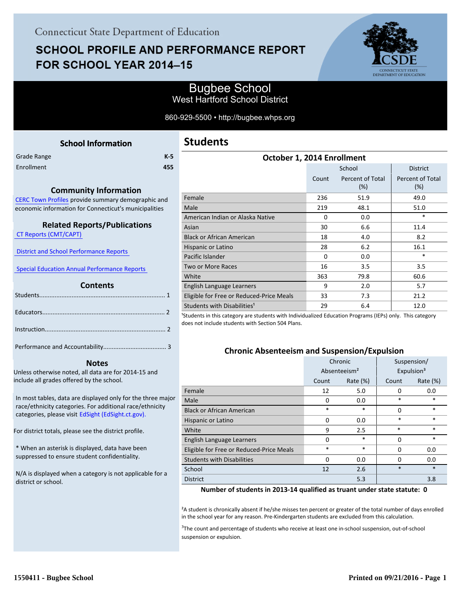# **SCHOOL PROFILE AND PERFORMANCE REPORT** FOR SCHOOL YEAR 2014-15



## Bugbee School West Hartford School District

860-929-5500 • http://bugbee.whps.org

<span id="page-0-0"></span>

|             | <b>School Information</b> |       |
|-------------|---------------------------|-------|
| Grade Range |                           | $K-5$ |
| Enrollment  |                           | 455   |
|             |                           |       |

#### **Community Information**

[CERC Town Profiles provide summary demographic and](http://www.cerc.com/townprofiles/) economic information for Connecticut's municipalities

#### **Related Reports/Publications**

 [CT Reports \(CMT/CAPT\)](http://ctreports.com/) 

 [District and School Performance Reports](http://www.csde.state.ct.us/public/performancereports/reports.asp) 

 [Special Education Annual Performance Reports](http://edsight.ct.gov/SASPortal/main.do) 

#### **Contents**

 **Notes**

Unless otherwise noted, all data are for 2014-15 and include all grades offered by the school.

[In most tables, data are displayed only for the three major](http://edsight.ct.gov) race/ethnicity categories. For additional race/ethnicity categories, please visit EdSight (EdSight.ct.gov).

For district totals, please see the district profile.

\* When an asterisk is displayed, data have been suppressed to ensure student confidentiality.

N/A is displayed when a category is not applicable for a district or school.

| October 1, 2014 Enrollment               |          |                         |                         |  |  |  |
|------------------------------------------|----------|-------------------------|-------------------------|--|--|--|
|                                          |          | School                  | <b>District</b>         |  |  |  |
|                                          | Count    | Percent of Total<br>(%) | Percent of Total<br>(%) |  |  |  |
| Female                                   | 236      | 51.9                    | 49.0                    |  |  |  |
| Male                                     | 219      | 48.1                    | 51.0                    |  |  |  |
| American Indian or Alaska Native         | $\Omega$ | 0.0                     | $\ast$                  |  |  |  |
| Asian                                    | 30       | 6.6                     | 11.4                    |  |  |  |
| <b>Black or African American</b>         | 18       | 4.0                     | 8.2                     |  |  |  |
| Hispanic or Latino                       | 28       | 6.2                     | 16.1                    |  |  |  |
| Pacific Islander                         | 0        | 0.0                     | $\ast$                  |  |  |  |
| Two or More Races                        | 16       | 3.5                     | 3.5                     |  |  |  |
| White                                    | 363      | 79.8                    | 60.6                    |  |  |  |
| English Language Learners                | 9        | 2.0                     | 5.7                     |  |  |  |
| Eligible for Free or Reduced-Price Meals | 33       | 7.3                     | 21.2                    |  |  |  |
| Students with Disabilities <sup>1</sup>  | 29       | 6.4                     | 12.0                    |  |  |  |

<sup>1</sup>Students in this category are students with Individualized Education Programs (IEPs) only. This category does not include students with Section 504 Plans.

#### **Chronic Absenteeism and Suspension/Expulsion**

|                                          | Chronic                  |             | Suspension/ |                        |
|------------------------------------------|--------------------------|-------------|-------------|------------------------|
|                                          | Absenteeism <sup>2</sup> |             |             | Expulsion <sup>3</sup> |
|                                          | Count                    | Rate $(\%)$ | Count       | Rate $(\%)$            |
| Female                                   | 12                       | 5.0         | $\Omega$    | 0.0                    |
| Male                                     | 0                        | 0.0         | *           | *                      |
| <b>Black or African American</b>         | *                        | *           | $\Omega$    | $\ast$                 |
| Hispanic or Latino                       | 0                        | 0.0         | $\ast$      | $\ast$                 |
| White                                    | 9                        | 2.5         | $\ast$      | $\ast$                 |
| English Language Learners                | 0                        | $\ast$      | $\Omega$    | *                      |
| Eligible for Free or Reduced-Price Meals | *                        | $\ast$      | $\Omega$    | 0.0                    |
| <b>Students with Disabilities</b>        | 0                        | 0.0         | 0           | 0.0                    |
| School                                   | 12                       | 2.6         | $\ast$      | $\ast$                 |
| <b>District</b>                          |                          | 5.3         |             | 3.8                    |

**Number of students in 2013-14 qualified as truant under state statute: 0**

²A student is chronically absent if he/she misses ten percent or greater of the total number of days enrolled in the school year for any reason. Pre-Kindergarten students are excluded from this calculation.

<sup>3</sup>The count and percentage of students who receive at least one in-school suspension, out-of-school suspension or expulsion.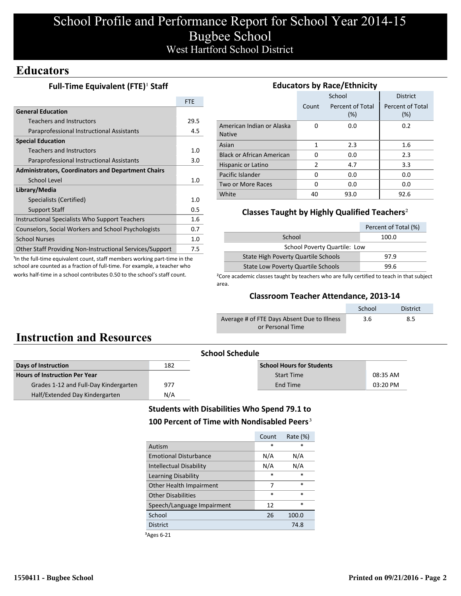# School Profile and Performance Report for School Year 2014-15 Bugbee School West Hartford School District

## **Educators**

### **Full-Time Equivalent (FTE)<sup>1</sup> Staff**

|                                                           | <b>FTF</b> |
|-----------------------------------------------------------|------------|
| <b>General Education</b>                                  |            |
| <b>Teachers and Instructors</b>                           | 29.5       |
| Paraprofessional Instructional Assistants                 | 4.5        |
| <b>Special Education</b>                                  |            |
| Teachers and Instructors                                  | 1.0        |
| Paraprofessional Instructional Assistants                 | 3.0        |
| <b>Administrators, Coordinators and Department Chairs</b> |            |
| School Level                                              |            |
| Library/Media                                             |            |
| Specialists (Certified)                                   | 1.0        |
| <b>Support Staff</b>                                      | 0.5        |
| Instructional Specialists Who Support Teachers            | 1.6        |
| Counselors, Social Workers and School Psychologists       | 0.7        |
| <b>School Nurses</b>                                      | 1.0        |
| Other Staff Providing Non-Instructional Services/Support  | 7.5        |

<sup>1</sup>In the full-time equivalent count, staff members working part-time in the school are counted as a fraction of full-time. For example, a teacher who works half-time in a school contributes 0.50 to the school's staff count.

| <b>Educators by Race/Ethnicity</b>         |       |                         |                         |  |  |  |
|--------------------------------------------|-------|-------------------------|-------------------------|--|--|--|
|                                            |       | School                  | <b>District</b>         |  |  |  |
|                                            | Count | Percent of Total<br>(%) | Percent of Total<br>(%) |  |  |  |
| American Indian or Alaska<br><b>Native</b> | O     | 0.0                     | 0.2                     |  |  |  |
| Asian                                      | 1     | 2.3                     | 1.6                     |  |  |  |
| <b>Black or African American</b>           | 0     | 0.0                     | 2.3                     |  |  |  |
| Hispanic or Latino                         | 2     | 4.7                     | 3.3                     |  |  |  |
| Pacific Islander                           | 0     | 0.0                     | 0.0                     |  |  |  |
| Two or More Races                          | 0     | 0.0                     | 0.0                     |  |  |  |
| White                                      | 40    | 93.0                    | 92.6                    |  |  |  |

### **Classes Taught by Highly Qualified Teachers**²

|                                           | Percent of Total (%) |  |  |  |
|-------------------------------------------|----------------------|--|--|--|
| School                                    | 100.0                |  |  |  |
| School Poverty Quartile: Low              |                      |  |  |  |
| State High Poverty Quartile Schools       | 97.9                 |  |  |  |
| <b>State Low Poverty Quartile Schools</b> | 99.6                 |  |  |  |

<sup>2</sup>Core academic classes taught by teachers who are fully certified to teach in that subject area.

### **Classroom Teacher Attendance, 2013-14**

|                                             | School | <b>District</b> |
|---------------------------------------------|--------|-----------------|
| Average # of FTE Days Absent Due to Illness | 3.6    | 8.5             |
| or Personal Time                            |        |                 |

# **Instruction and Resources**

| <b>School Schedule</b>                |     |                                  |          |  |
|---------------------------------------|-----|----------------------------------|----------|--|
| Days of Instruction                   | 182 | <b>School Hours for Students</b> |          |  |
| <b>Hours of Instruction Per Year</b>  |     | <b>Start Time</b>                | 08:35 AM |  |
| Grades 1-12 and Full-Day Kindergarten | 977 | End Time                         | 03:20 PM |  |
| Half/Extended Day Kindergarten        | N/A |                                  |          |  |

### **Students with Disabilities Who Spend 79.1 to** 100 Percent of Time with Nondisabled Peers<sup>3</sup>

|                                | Count  | Rate $(\%)$ |
|--------------------------------|--------|-------------|
| Autism                         | $\ast$ | ×           |
| <b>Emotional Disturbance</b>   | N/A    | N/A         |
| <b>Intellectual Disability</b> | N/A    | N/A         |
| Learning Disability            | $\ast$ | $\ast$      |
| Other Health Impairment        | 7      | $\ast$      |
| <b>Other Disabilities</b>      | $\ast$ | $\ast$      |
| Speech/Language Impairment     | 12     | $\ast$      |
| School                         | 26     | 100.0       |
| <b>District</b>                |        | 74.8        |
|                                |        |             |

³Ages 6-21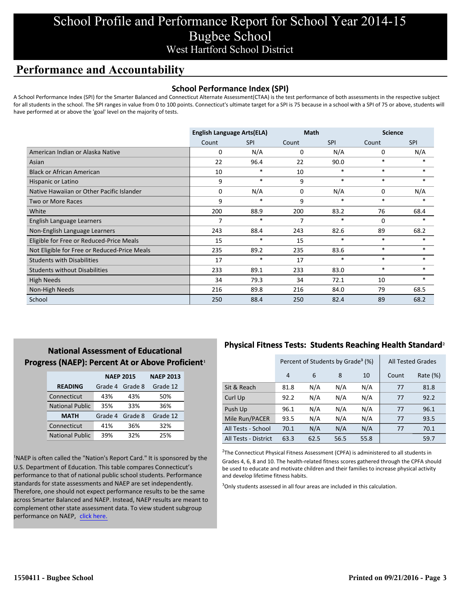# School Profile and Performance Report for School Year 2014-15 Bugbee School West Hartford School District

## **Performance and Accountability**

### **School Performance Index (SPI)**

A School Performance Index (SPI) for the Smarter Balanced and Connecticut Alternate Assessment(CTAA) is the test performance of both assessments in the respective subject for all students in the school. The SPI ranges in value from 0 to 100 points. Connecticut's ultimate target for a SPI is 75 because in a school with a SPI of 75 or above, students will have performed at or above the 'goal' level on the majority of tests.

|                                              | <b>English Language Arts(ELA)</b> |            | <b>Math</b> |            | <b>Science</b> |            |
|----------------------------------------------|-----------------------------------|------------|-------------|------------|----------------|------------|
|                                              | Count                             | <b>SPI</b> | Count       | <b>SPI</b> | Count          | <b>SPI</b> |
| American Indian or Alaska Native             | 0                                 | N/A        | 0           | N/A        | 0              | N/A        |
| Asian                                        | 22                                | 96.4       | 22          | 90.0       | $\ast$         |            |
| <b>Black or African American</b>             | 10                                | $\ast$     | 10          | $\ast$     | $\ast$         | $\ast$     |
| Hispanic or Latino                           | 9                                 | $\ast$     | 9           | $\ast$     | $\ast$         | $\ast$     |
| Native Hawaiian or Other Pacific Islander    | 0                                 | N/A        | 0           | N/A        | 0              | N/A        |
| Two or More Races                            | 9                                 | $\ast$     | 9           | $\ast$     | $\ast$         | $\ast$     |
| White                                        | 200                               | 88.9       | 200         | 83.2       | 76             | 68.4       |
| English Language Learners                    | 7                                 | $\ast$     | 7           | $\ast$     | 0              | $\ast$     |
| Non-English Language Learners                | 243                               | 88.4       | 243         | 82.6       | 89             | 68.2       |
| Eligible for Free or Reduced-Price Meals     | 15                                | $\ast$     | 15          | $\ast$     | $\ast$         | $\ast$     |
| Not Eligible for Free or Reduced-Price Meals | 235                               | 89.2       | 235         | 83.6       | $\ast$         | $\ast$     |
| <b>Students with Disabilities</b>            | 17                                | *          | 17          | $\ast$     | $\ast$         | $\ast$     |
| <b>Students without Disabilities</b>         | 233                               | 89.1       | 233         | 83.0       | $\ast$         | $\ast$     |
| High Needs                                   | 34                                | 79.3       | 34          | 72.1       | 10             | $*$        |
| Non-High Needs                               | 216                               | 89.8       | 216         | 84.0       | 79             | 68.5       |
| School                                       | 250                               | 88.4       | 250         | 82.4       | 89             | 68.2       |

### **National Assessment of Educational Progress (NAEP): Percent At or Above Proficient1**

|                        | <b>NAEP 2015</b> | <b>NAEP 2013</b> |          |
|------------------------|------------------|------------------|----------|
| <b>READING</b>         | Grade 4          | Grade 8          | Grade 12 |
| Connecticut            | 43%              | 43%              | 50%      |
| <b>National Public</b> | 35%              | 33%              | 36%      |
| <b>MATH</b>            | Grade 4          | Grade 8          | Grade 12 |
| Connecticut            | 41%              | 36%              | 32%      |
| <b>National Public</b> | 39%              | 32%              | 25%      |

<sup>1</sup>NAEP is often called the "Nation's Report Card." It is sponsored by the U.S. Department of Education. This table compares Connecticut's performance to that of national public school students. Performance standards for state assessments and NAEP are set independently. Therefore, one should not expect performance results to be the same across Smarter Balanced and NAEP. Instead, NAEP results are meant to complement other state assessment data. To view student subgroup performance on NAEP, click here.

### **Physical Fitness Tests: Students Reaching Health Standard**²

|                      | Percent of Students by Grade <sup>3</sup> (%) |      |      |      | <b>All Tested Grades</b> |             |
|----------------------|-----------------------------------------------|------|------|------|--------------------------|-------------|
|                      | 4                                             | 6    | 8    | 10   | Count                    | Rate $(\%)$ |
| Sit & Reach          | 81.8                                          | N/A  | N/A  | N/A  | 77                       | 81.8        |
| Curl Up              | 92.2                                          | N/A  | N/A  | N/A  | 77                       | 92.2        |
| Push Up              | 96.1                                          | N/A  | N/A  | N/A  | 77                       | 96.1        |
| Mile Run/PACER       | 93.5                                          | N/A  | N/A  | N/A  | 77                       | 93.5        |
| All Tests - School   | 70.1                                          | N/A  | N/A  | N/A  | 77                       | 70.1        |
| All Tests - District | 63.3                                          | 62.5 | 56.5 | 55.8 |                          | 59.7        |

 $2$ The Connecticut Physical Fitness Assessment (CPFA) is administered to all students in Grades 4, 6, 8 and 10. The health-related fitness scores gathered through the CPFA should be used to educate and motivate children and their families to increase physical activity and develop lifetime fitness habits.

<sup>3</sup>Only students assessed in all four areas are included in this calculation.